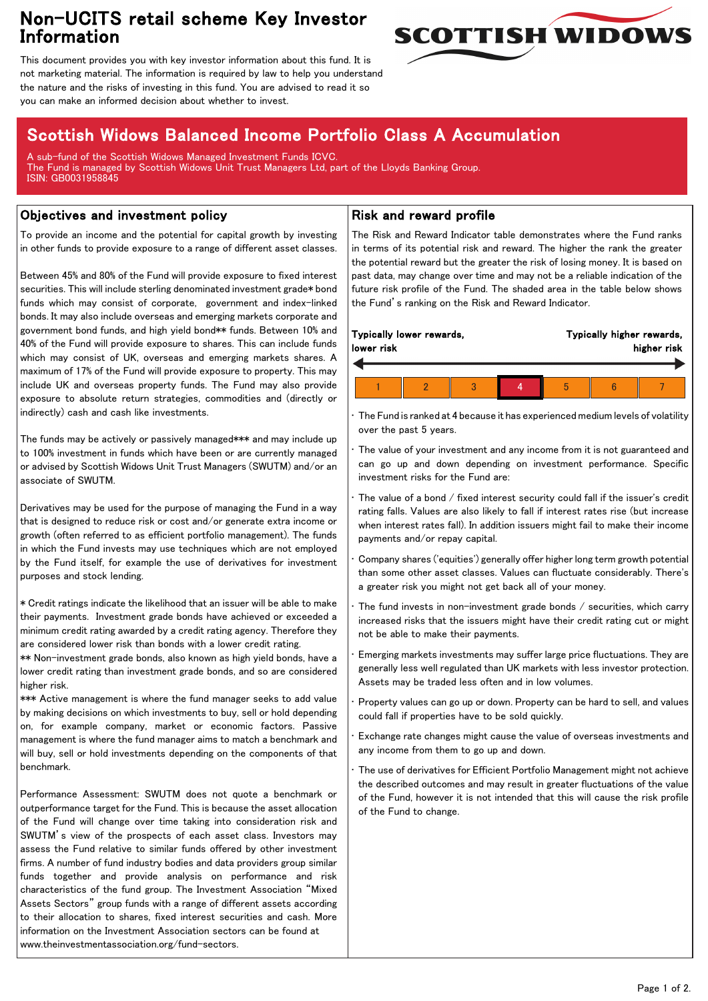## Non-UCITS retail scheme Key Investor Information



This document provides you with key investor information about this fund. It is not marketing material. The information is required by law to help you understand the nature and the risks of investing in this fund. You are advised to read it so you can make an informed decision about whether to invest.

# Scottish Widows Balanced Income Portfolio Class A Accumulation

A sub-fund of the Scottish Widows Managed Investment Funds ICVC. The Fund is managed by Scottish Widows Unit Trust Managers Ltd, part of the Lloyds Banking Group. ISIN: GB0031958845

### Objectives and investment policy

To provide an income and the potential for capital growth by investing in other funds to provide exposure to a range of different asset classes.

Between 45% and 80% of the Fund will provide exposure to fixed interest securities. This will include sterling denominated investment grade\* bond funds which may consist of corporate, government and index-linked bonds. It may also include overseas and emerging markets corporate and government bond funds, and high yield bond\*\* funds. Between 10% and 40% of the Fund will provide exposure to shares. This can include funds which may consist of UK, overseas and emerging markets shares. A maximum of 17% of the Fund will provide exposure to property. This may include UK and overseas property funds. The Fund may also provide exposure to absolute return strategies, commodities and (directly or indirectly) cash and cash like investments.

The funds may be actively or passively managed\*\*\* and may include up to 100% investment in funds which have been or are currently managed or advised by Scottish Widows Unit Trust Managers (SWUTM) and/or an associate of SWUTM.

Derivatives may be used for the purpose of managing the Fund in a way that is designed to reduce risk or cost and/or generate extra income or growth (often referred to as efficient portfolio management). The funds in which the Fund invests may use techniques which are not employed by the Fund itself, for example the use of derivatives for investment purposes and stock lending.

\* Credit ratings indicate the likelihood that an issuer will be able to make their payments. Investment grade bonds have achieved or exceeded a minimum credit rating awarded by a credit rating agency. Therefore they are considered lower risk than bonds with a lower credit rating.

\*\* Non-investment grade bonds, also known as high yield bonds, have a lower credit rating than investment grade bonds, and so are considered higher risk.

\*\*\* Active management is where the fund manager seeks to add value by making decisions on which investments to buy, sell or hold depending on, for example company, market or economic factors. Passive management is where the fund manager aims to match a benchmark and will buy, sell or hold investments depending on the components of that benchmark.

Performance Assessment: SWUTM does not quote a benchmark or outperformance target for the Fund. This is because the asset allocation of the Fund will change over time taking into consideration risk and SWUTM's view of the prospects of each asset class. Investors may assess the Fund relative to similar funds offered by other investment firms. A number of fund industry bodies and data providers group similar funds together and provide analysis on performance and risk characteristics of the fund group. The Investment Association "Mixed Assets Sectors" group funds with a range of different assets according to their allocation to shares, fixed interest securities and cash. More information on the Investment Association sectors can be found at www.theinvestmentassociation.org/fund-sectors.

### Risk and reward profile

The Risk and Reward Indicator table demonstrates where the Fund ranks in terms of its potential risk and reward. The higher the rank the greater the potential reward but the greater the risk of losing money. It is based on past data, may change over time and may not be a reliable indication of the future risk profile of the Fund. The shaded area in the table below shows the Fund's ranking on the Risk and Reward Indicator.

|  | lower risk | Typically lower rewards, |  |  |   | Typically higher rewards,<br>higher risk |  |  |
|--|------------|--------------------------|--|--|---|------------------------------------------|--|--|
|  |            |                          |  |  |   |                                          |  |  |
|  |            |                          |  |  | h |                                          |  |  |

• The Fund is ranked at 4 because it has experienced medium levels of volatility over the past 5 years.

The value of your investment and any income from it is not guaranteed and can go up and down depending on investment performance. Specific investment risks for the Fund are:

• The value of a bond / fixed interest security could fall if the issuer's credit rating falls. Values are also likely to fall if interest rates rise (but increase when interest rates fall). In addition issuers might fail to make their income payments and/or repay capital.

• Company shares ('equities') generally offer higher long term growth potential than some other asset classes. Values can fluctuate considerably. There's a greater risk you might not get back all of your money.

The fund invests in non-investment grade bonds  $/$  securities, which carry increased risks that the issuers might have their credit rating cut or might not be able to make their payments.

• Emerging markets investments may suffer large price fluctuations. They are generally less well regulated than UK markets with less investor protection. Assets may be traded less often and in low volumes.

• Property values can go up or down. Property can be hard to sell, and values could fall if properties have to be sold quickly.

• Exchange rate changes might cause the value of overseas investments and any income from them to go up and down.

The use of derivatives for Efficient Portfolio Management might not achieve the described outcomes and may result in greater fluctuations of the value of the Fund, however it is not intended that this will cause the risk profile of the Fund to change.